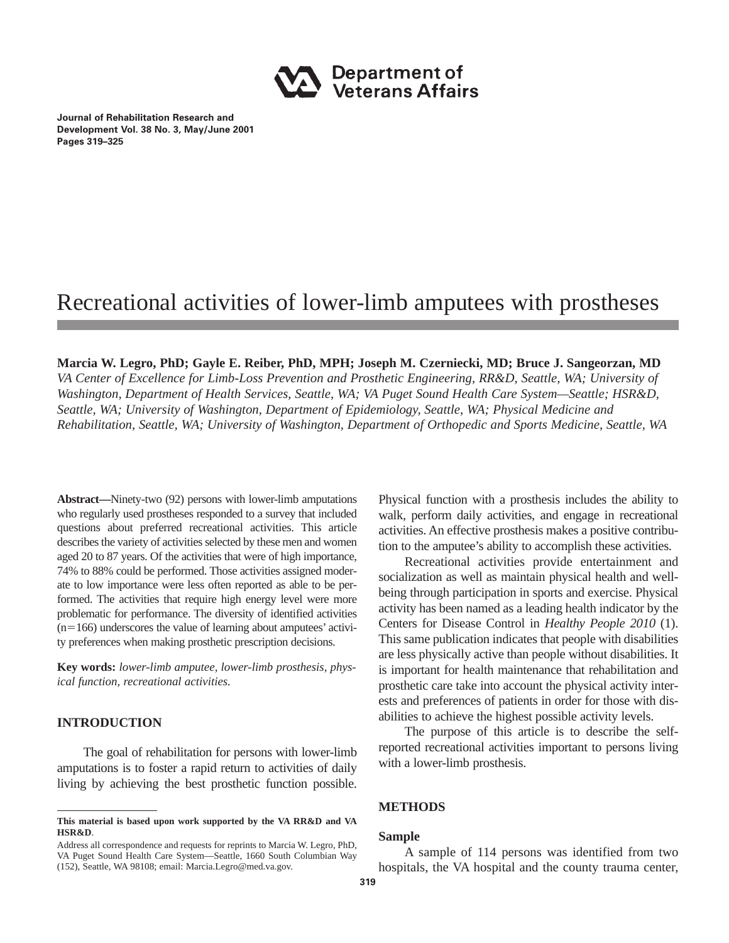

**Journal of Rehabilitation Research and Development Vol. 38 No. 3, May/June 2001 Pages 319–325**

# Recreational activities of lower-limb amputees with prostheses

## **Marcia W. Legro, PhD; Gayle E. Reiber, PhD, MPH; Joseph M. Czerniecki, MD; Bruce J. Sangeorzan, MD**

*VA Center of Excellence for Limb-Loss Prevention and Prosthetic Engineering, RR&D, Seattle, WA; University of Washington, Department of Health Services, Seattle, WA; VA Puget Sound Health Care System—Seattle; HSR&D, Seattle, WA; University of Washington, Department of Epidemiology, Seattle, WA; Physical Medicine and Rehabilitation, Seattle, WA; University of Washington, Department of Orthopedic and Sports Medicine, Seattle, WA*

**Abstract—**Ninety-two (92) persons with lower-limb amputations who regularly used prostheses responded to a survey that included questions about preferred recreational activities. This article describes the variety of activities selected by these men and women aged 20 to 87 years. Of the activities that were of high importance, 74% to 88% could be performed. Those activities assigned moderate to low importance were less often reported as able to be performed. The activities that require high energy level were more problematic for performance. The diversity of identified activities  $(n=166)$  underscores the value of learning about amputees' activity preferences when making prosthetic prescription decisions.

**Key words:** *lower-limb amputee, lower-limb prosthesis, physical function, recreational activities.*

## **INTRODUCTION**

The goal of rehabilitation for persons with lower-limb amputations is to foster a rapid return to activities of daily living by achieving the best prosthetic function possible.

Physical function with a prosthesis includes the ability to walk, perform daily activities, and engage in recreational activities. An effective prosthesis makes a positive contribution to the amputee's ability to accomplish these activities.

Recreational activities provide entertainment and socialization as well as maintain physical health and wellbeing through participation in sports and exercise. Physical activity has been named as a leading health indicator by the Centers for Disease Control in *Healthy People 2010* (1). This same publication indicates that people with disabilities are less physically active than people without disabilities. It is important for health maintenance that rehabilitation and prosthetic care take into account the physical activity interests and preferences of patients in order for those with disabilities to achieve the highest possible activity levels.

The purpose of this article is to describe the selfreported recreational activities important to persons living with a lower-limb prosthesis.

## **METHODS**

## **Sample**

A sample of 114 persons was identified from two hospitals, the VA hospital and the county trauma center,

**This material is based upon work supported by the VA RR&D and VA HSR&D**.

Address all correspondence and requests for reprints to Marcia W. Legro, PhD, VA Puget Sound Health Care System—Seattle, 1660 South Columbian Way (152), Seattle, WA 98108; email: Marcia.Legro@med.va.gov.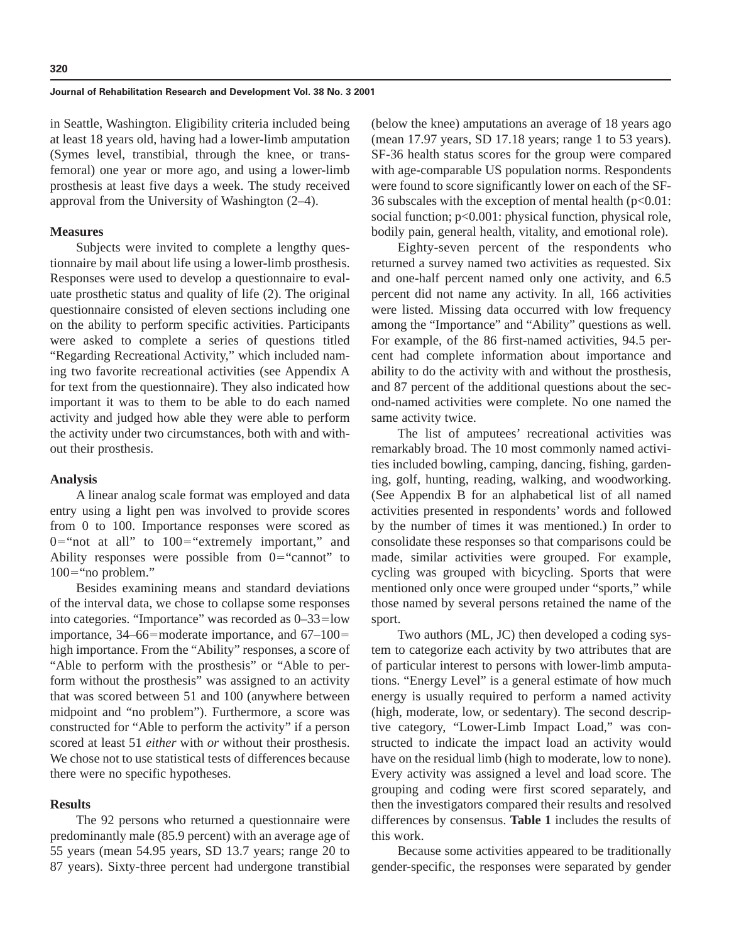#### **Journal of Rehabilitation Research and Development Vol. 38 No. 3 2001**

in Seattle, Washington. Eligibility criteria included being at least 18 years old, having had a lower-limb amputation (Symes level, transtibial, through the knee, or transfemoral) one year or more ago, and using a lower-limb prosthesis at least five days a week. The study received approval from the University of Washington (2–4).

## **Measures**

Subjects were invited to complete a lengthy questionnaire by mail about life using a lower-limb prosthesis. Responses were used to develop a questionnaire to evaluate prosthetic status and quality of life (2). The original questionnaire consisted of eleven sections including one on the ability to perform specific activities. Participants were asked to complete a series of questions titled "Regarding Recreational Activity," which included naming two favorite recreational activities (see Appendix A for text from the questionnaire). They also indicated how important it was to them to be able to do each named activity and judged how able they were able to perform the activity under two circumstances, both with and without their prosthesis.

### **Analysis**

A linear analog scale format was employed and data entry using a light pen was involved to provide scores from 0 to 100. Importance responses were scored as  $0$ ="not at all" to  $100$ ="extremely important," and Ability responses were possible from  $0=$ "cannot" to  $100 =$ "no problem."

Besides examining means and standard deviations of the interval data, we chose to collapse some responses into categories. "Importance" was recorded as  $0-33=$ low importance,  $34-66$ =moderate importance, and  $67-100=$ high importance. From the "Ability" responses, a score of "Able to perform with the prosthesis" or "Able to perform without the prosthesis" was assigned to an activity that was scored between 51 and 100 (anywhere between midpoint and "no problem"). Furthermore, a score was constructed for "Able to perform the activity" if a person scored at least 51 *either* with *or* without their prosthesis. We chose not to use statistical tests of differences because there were no specific hypotheses.

## **Results**

The 92 persons who returned a questionnaire were predominantly male (85.9 percent) with an average age of 55 years (mean 54.95 years, SD 13.7 years; range 20 to 87 years). Sixty-three percent had undergone transtibial

(below the knee) amputations an average of 18 years ago (mean 17.97 years, SD 17.18 years; range 1 to 53 years). SF-36 health status scores for the group were compared with age-comparable US population norms. Respondents were found to score significantly lower on each of the SF-36 subscales with the exception of mental health  $(p<0.01$ : social function;  $p<0.001$ : physical function, physical role, bodily pain, general health, vitality, and emotional role).

Eighty-seven percent of the respondents who returned a survey named two activities as requested. Six and one-half percent named only one activity, and 6.5 percent did not name any activity. In all, 166 activities were listed. Missing data occurred with low frequency among the "Importance" and "Ability" questions as well. For example, of the 86 first-named activities, 94.5 percent had complete information about importance and ability to do the activity with and without the prosthesis, and 87 percent of the additional questions about the second-named activities were complete. No one named the same activity twice.

The list of amputees' recreational activities was remarkably broad. The 10 most commonly named activities included bowling, camping, dancing, fishing, gardening, golf, hunting, reading, walking, and woodworking. (See Appendix B for an alphabetical list of all named activities presented in respondents' words and followed by the number of times it was mentioned.) In order to consolidate these responses so that comparisons could be made, similar activities were grouped. For example, cycling was grouped with bicycling. Sports that were mentioned only once were grouped under "sports," while those named by several persons retained the name of the sport.

Two authors (ML, JC) then developed a coding system to categorize each activity by two attributes that are of particular interest to persons with lower-limb amputations. "Energy Level" is a general estimate of how much energy is usually required to perform a named activity (high, moderate, low, or sedentary). The second descriptive category, "Lower-Limb Impact Load," was constructed to indicate the impact load an activity would have on the residual limb (high to moderate, low to none). Every activity was assigned a level and load score. The grouping and coding were first scored separately, and then the investigators compared their results and resolved differences by consensus. **Table 1** includes the results of this work.

Because some activities appeared to be traditionally gender-specific, the responses were separated by gender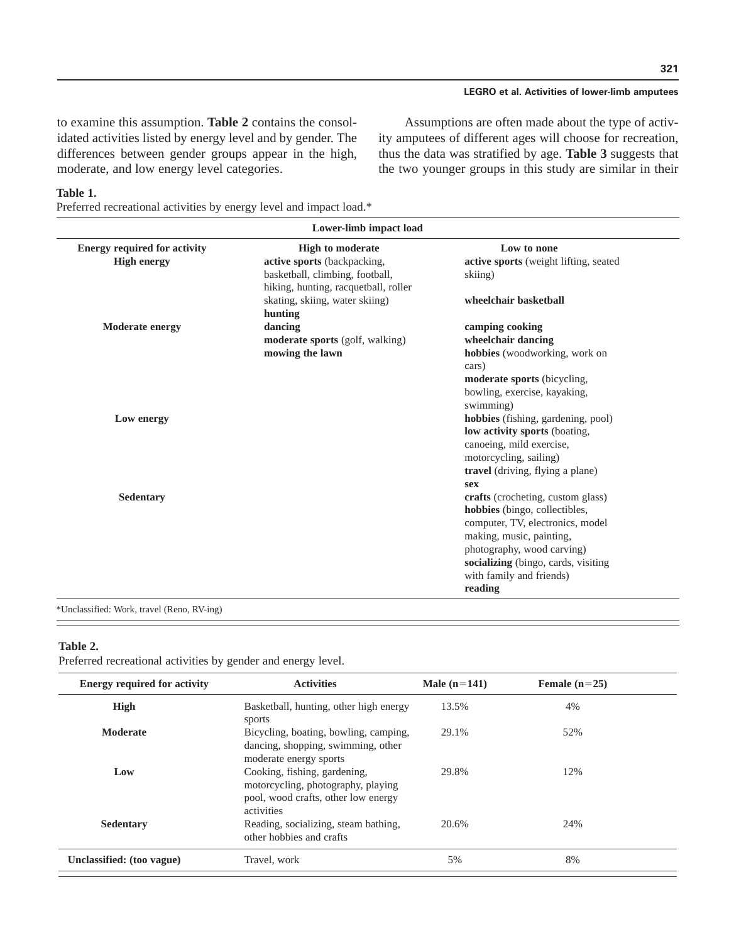## **LEGRO et al. Activities of lower-limb amputees**

to examine this assumption. **Table 2** contains the consolidated activities listed by energy level and by gender. The differences between gender groups appear in the high, moderate, and low energy level categories.

Assumptions are often made about the type of activity amputees of different ages will choose for recreation, thus the data was stratified by age. **Table 3** suggests that the two younger groups in this study are similar in their

#### **Table 1.**

Preferred recreational activities by energy level and impact load.\*

| <b>Energy required for activity</b> | <b>High to moderate</b>              | Low to none                           |
|-------------------------------------|--------------------------------------|---------------------------------------|
| <b>High energy</b>                  | active sports (backpacking,          | active sports (weight lifting, seated |
|                                     | basketball, climbing, football,      | skiing)                               |
|                                     | hiking, hunting, racquetball, roller |                                       |
|                                     | skating, skiing, water skiing)       | wheelchair basketball                 |
|                                     | hunting                              |                                       |
| <b>Moderate energy</b>              | dancing                              | camping cooking                       |
|                                     | moderate sports (golf, walking)      | wheelchair dancing                    |
|                                     | mowing the lawn                      | hobbies (woodworking, work on         |
|                                     |                                      | cars)                                 |
|                                     |                                      | moderate sports (bicycling,           |
|                                     |                                      | bowling, exercise, kayaking,          |
|                                     |                                      | swimming)                             |
| Low energy                          |                                      | hobbies (fishing, gardening, pool)    |
|                                     |                                      | low activity sports (boating,         |
|                                     |                                      | canoeing, mild exercise,              |
|                                     |                                      | motorcycling, sailing)                |
|                                     |                                      | travel (driving, flying a plane)      |
|                                     |                                      | sex                                   |
| <b>Sedentary</b>                    |                                      | crafts (crocheting, custom glass)     |
|                                     |                                      | hobbies (bingo, collectibles,         |
|                                     |                                      | computer, TV, electronics, model      |
|                                     |                                      | making, music, painting,              |
|                                     |                                      | photography, wood carving)            |
|                                     |                                      | socializing (bingo, cards, visiting   |
|                                     |                                      | with family and friends)              |
|                                     |                                      | reading                               |

\*Unclassified: Work, travel (Reno, RV-ing)

### **Table 2.**

Preferred recreational activities by gender and energy level.

| <b>Energy required for activity</b> | <b>Activities</b>                                                                                                       | Male $(n=141)$ | Female $(n=25)$ |  |
|-------------------------------------|-------------------------------------------------------------------------------------------------------------------------|----------------|-----------------|--|
| <b>High</b>                         | Basketball, hunting, other high energy<br>sports                                                                        | 13.5%          | 4%              |  |
| <b>Moderate</b>                     | Bicycling, boating, bowling, camping,<br>dancing, shopping, swimming, other<br>moderate energy sports                   | 29.1%          | 52%             |  |
| Low                                 | Cooking, fishing, gardening,<br>motorcycling, photography, playing<br>pool, wood crafts, other low energy<br>activities | 29.8%          | 12%             |  |
| Sedentary                           | Reading, socializing, steam bathing,<br>other hobbies and crafts                                                        | 20.6%          | 24%             |  |
| Unclassified: (too vague)           | Travel, work                                                                                                            | 5%             | 8%              |  |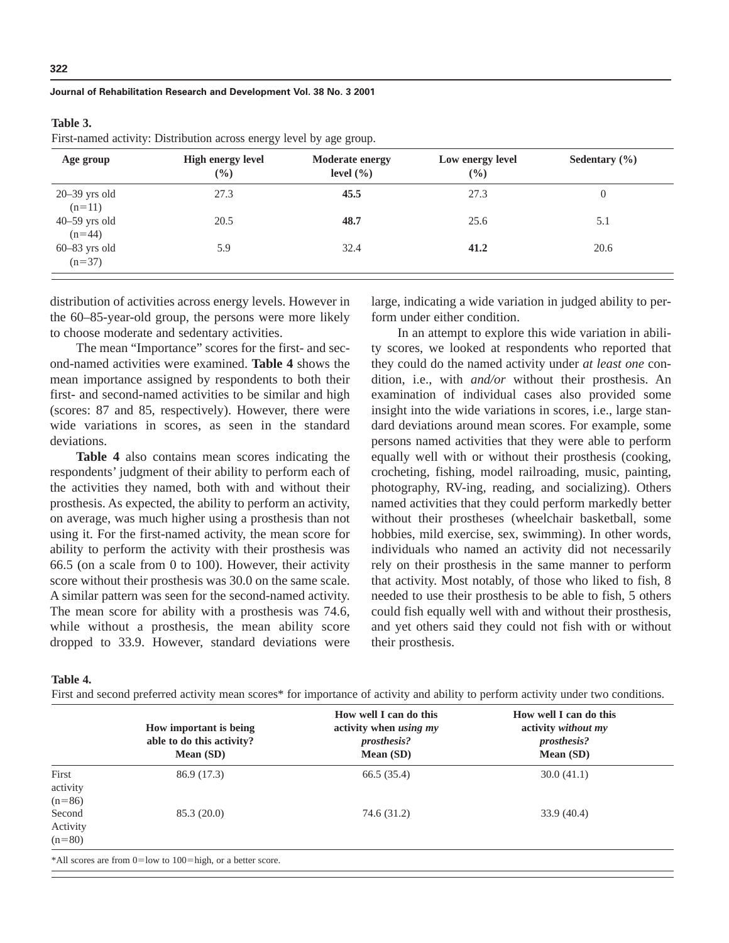#### **Journal of Rehabilitation Research and Development Vol. 38 No. 3 2001**

#### **Table 3.**

First-named activity: Distribution across energy level by age group.

| Age group                   | <b>High energy level</b><br>$(\%)$ | <b>Moderate energy</b><br>level $(\% )$ | Low energy level<br>(%) | Sedentary $(\% )$ |
|-----------------------------|------------------------------------|-----------------------------------------|-------------------------|-------------------|
| $20-39$ yrs old<br>$(n=11)$ | 27.3                               | 45.5                                    | 27.3                    | 0                 |
| $40-59$ yrs old<br>$(n=44)$ | 20.5                               | 48.7                                    | 25.6                    | 5.1               |
| $60-83$ yrs old<br>$(n=37)$ | 5.9                                | 32.4                                    | 41.2                    | 20.6              |

distribution of activities across energy levels. However in the 60–85-year-old group, the persons were more likely to choose moderate and sedentary activities.

The mean "Importance" scores for the first- and second-named activities were examined. **Table 4** shows the mean importance assigned by respondents to both their first- and second-named activities to be similar and high (scores: 87 and 85, respectively). However, there were wide variations in scores, as seen in the standard deviations.

**Table 4** also contains mean scores indicating the respondents' judgment of their ability to perform each of the activities they named, both with and without their prosthesis. As expected, the ability to perform an activity, on average, was much higher using a prosthesis than not using it. For the first-named activity, the mean score for ability to perform the activity with their prosthesis was 66.5 (on a scale from 0 to 100). However, their activity score without their prosthesis was 30.0 on the same scale. A similar pattern was seen for the second-named activity. The mean score for ability with a prosthesis was 74.6, while without a prosthesis, the mean ability score dropped to 33.9. However, standard deviations were

large, indicating a wide variation in judged ability to perform under either condition.

In an attempt to explore this wide variation in ability scores, we looked at respondents who reported that they could do the named activity under *at least one* condition, i.e., with *and/or* without their prosthesis. An examination of individual cases also provided some insight into the wide variations in scores, i.e., large standard deviations around mean scores. For example, some persons named activities that they were able to perform equally well with or without their prosthesis (cooking, crocheting, fishing, model railroading, music, painting, photography, RV-ing, reading, and socializing). Others named activities that they could perform markedly better without their prostheses (wheelchair basketball, some hobbies, mild exercise, sex, swimming). In other words, individuals who named an activity did not necessarily rely on their prosthesis in the same manner to perform that activity. Most notably, of those who liked to fish, 8 needed to use their prosthesis to be able to fish, 5 others could fish equally well with and without their prosthesis, and yet others said they could not fish with or without their prosthesis.

#### **Table 4.**

First and second preferred activity mean scores\* for importance of activity and ability to perform activity under two conditions.

|                                | How important is being<br>able to do this activity?<br>Mean (SD) | How well I can do this<br>activity when <i>using my</i><br><i>prosthesis?</i><br>Mean (SD) | How well I can do this<br>activity without my<br><i>prosthesis?</i><br>Mean (SD) |
|--------------------------------|------------------------------------------------------------------|--------------------------------------------------------------------------------------------|----------------------------------------------------------------------------------|
| First<br>activity<br>$(n=86)$  | 86.9 (17.3)                                                      | 66.5 (35.4)                                                                                | 30.0(41.1)                                                                       |
| Second<br>Activity<br>$(n=80)$ | 85.3(20.0)                                                       | 74.6 (31.2)                                                                                | 33.9(40.4)                                                                       |

\*All scores are from 0=low to 100=high, or a better score.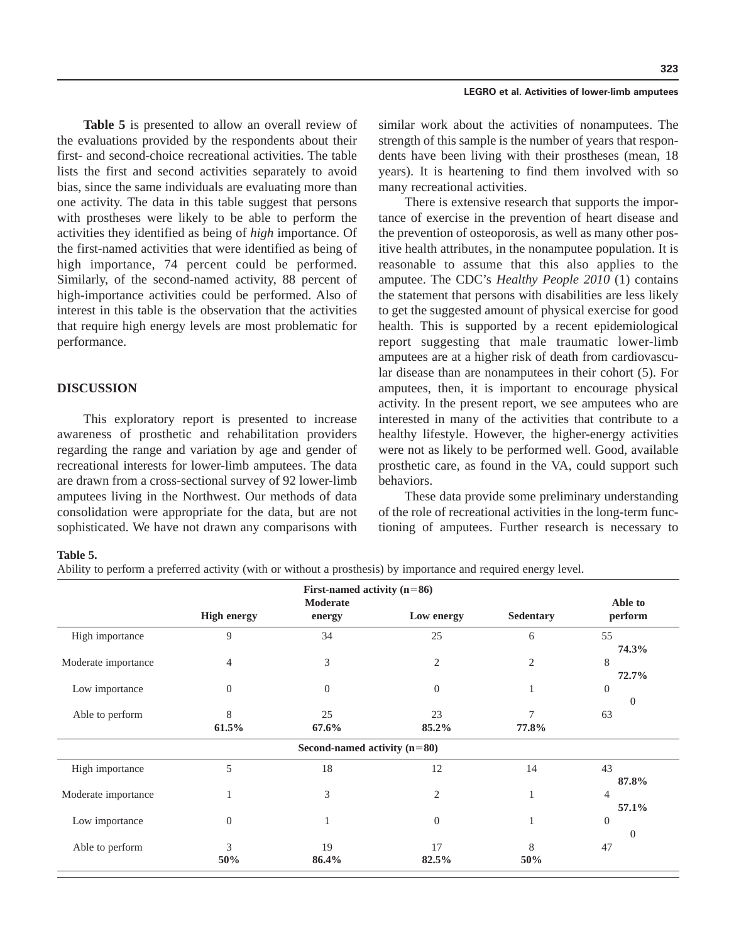**Table 5** is presented to allow an overall review of the evaluations provided by the respondents about their first- and second-choice recreational activities. The table lists the first and second activities separately to avoid bias, since the same individuals are evaluating more than one activity. The data in this table suggest that persons with prostheses were likely to be able to perform the activities they identified as being of *high* importance. Of the first-named activities that were identified as being of high importance, 74 percent could be performed. Similarly, of the second-named activity, 88 percent of high-importance activities could be performed. Also of interest in this table is the observation that the activities that require high energy levels are most problematic for performance.

## **DISCUSSION**

This exploratory report is presented to increase awareness of prosthetic and rehabilitation providers regarding the range and variation by age and gender of recreational interests for lower-limb amputees. The data are drawn from a cross-sectional survey of 92 lower-limb amputees living in the Northwest. Our methods of data consolidation were appropriate for the data, but are not sophisticated. We have not drawn any comparisons with

similar work about the activities of nonamputees. The strength of this sample is the number of years that respondents have been living with their prostheses (mean, 18 years). It is heartening to find them involved with so many recreational activities.

There is extensive research that supports the importance of exercise in the prevention of heart disease and the prevention of osteoporosis, as well as many other positive health attributes, in the nonamputee population. It is reasonable to assume that this also applies to the amputee. The CDC's *Healthy People 2010* (1) contains the statement that persons with disabilities are less likely to get the suggested amount of physical exercise for good health. This is supported by a recent epidemiological report suggesting that male traumatic lower-limb amputees are at a higher risk of death from cardiovascular disease than are nonamputees in their cohort (5). For amputees, then, it is important to encourage physical activity. In the present report, we see amputees who are interested in many of the activities that contribute to a healthy lifestyle. However, the higher-energy activities were not as likely to be performed well. Good, available prosthetic care, as found in the VA, could support such behaviors.

These data provide some preliminary understanding of the role of recreational activities in the long-term functioning of amputees. Further research is necessary to

### **Table 5.**

Ability to perform a preferred activity (with or without a prosthesis) by importance and required energy level.

|                     |                    | First-named activity $(n=86)$<br>Moderate |                |                  | Able to             |
|---------------------|--------------------|-------------------------------------------|----------------|------------------|---------------------|
|                     | <b>High energy</b> | energy                                    | Low energy     | <b>Sedentary</b> | perform             |
| High importance     | 9                  | 34                                        | 25             | 6                | 55<br>74.3%         |
| Moderate importance | 4                  | 3                                         | $\overline{2}$ | 2                | 8<br>72.7%          |
| Low importance      | $\theta$           | $\theta$                                  | $\theta$       |                  | $\overline{0}$<br>0 |
| Able to perform     | 8<br>61.5%         | 25<br>67.6%                               | 23<br>85.2%    | 77.8%            | 63                  |
|                     |                    | Second-named activity $(n=80)$            |                |                  |                     |
| High importance     | 5                  | 18                                        | 12             | 14               | 43<br>87.8%         |
| Moderate importance |                    | 3                                         | $\overline{2}$ |                  | 4<br>57.1%          |
| Low importance      | $\boldsymbol{0}$   | 1                                         | $\theta$       |                  | $\theta$<br>0       |
| Able to perform     | 3<br>50%           | 19<br>86.4%                               | 17<br>82.5%    | 8<br>50%         | 47                  |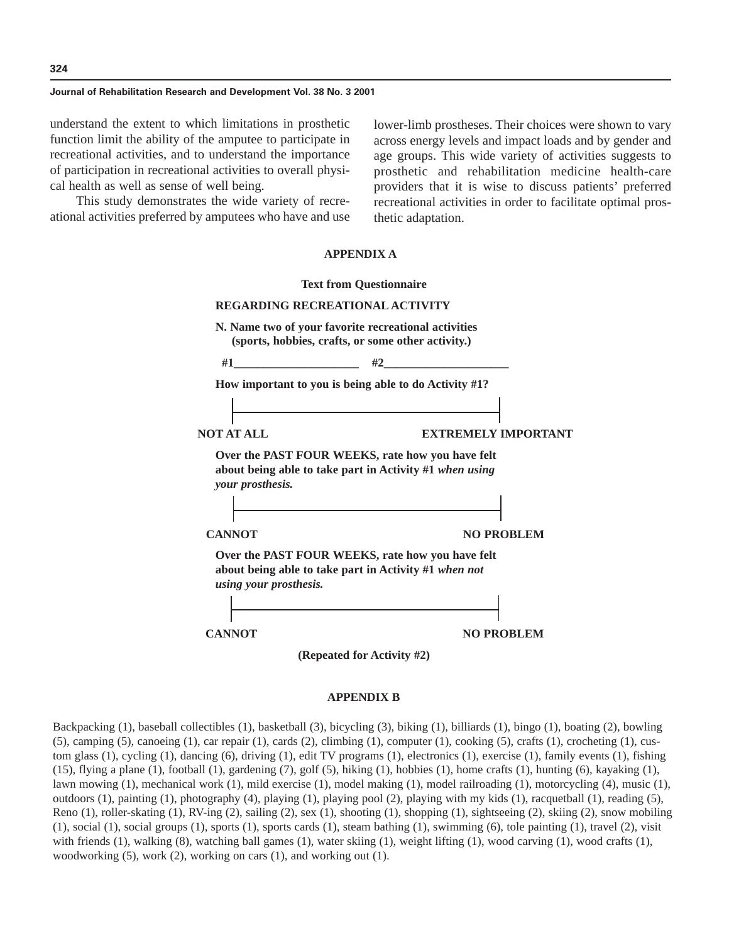#### **Journal of Rehabilitation Research and Development Vol. 38 No. 3 2001**

understand the extent to which limitations in prosthetic function limit the ability of the amputee to participate in recreational activities, and to understand the importance of participation in recreational activities to overall physical health as well as sense of well being.

This study demonstrates the wide variety of recreational activities preferred by amputees who have and use lower-limb prostheses. Their choices were shown to vary across energy levels and impact loads and by gender and age groups. This wide variety of activities suggests to prosthetic and rehabilitation medicine health-care providers that it is wise to discuss patients' preferred recreational activities in order to facilitate optimal prosthetic adaptation.

#### **APPENDIX A**



#### **APPENDIX B**

Backpacking (1), baseball collectibles (1), basketball (3), bicycling (3), biking (1), billiards (1), bingo (1), boating (2), bowling  $(5)$ , camping  $(5)$ , canoeing  $(1)$ , car repair  $(1)$ , cards  $(2)$ , climbing  $(1)$ , computer  $(1)$ , cooking  $(5)$ , crafts  $(1)$ , crocheting  $(1)$ , custom glass (1), cycling (1), dancing (6), driving (1), edit TV programs (1), electronics (1), exercise (1), family events (1), fishing (15), flying a plane (1), football (1), gardening (7), golf (5), hiking (1), hobbies (1), home crafts (1), hunting (6), kayaking (1), lawn mowing (1), mechanical work (1), mild exercise (1), model making (1), model railroading (1), motorcycling (4), music (1), outdoors (1), painting (1), photography (4), playing (1), playing pool (2), playing with my kids (1), racquetball (1), reading (5), Reno (1), roller-skating (1), RV-ing (2), sailing (2), sex (1), shooting (1), shopping (1), sightseeing (2), skiing (2), snow mobiling (1), social (1), social groups (1), sports (1), sports cards (1), steam bathing (1), swimming (6), tole painting (1), travel (2), visit with friends (1), walking (8), watching ball games (1), water skiing (1), weight lifting (1), wood carving (1), wood crafts (1), woodworking (5), work (2), working on cars (1), and working out (1).